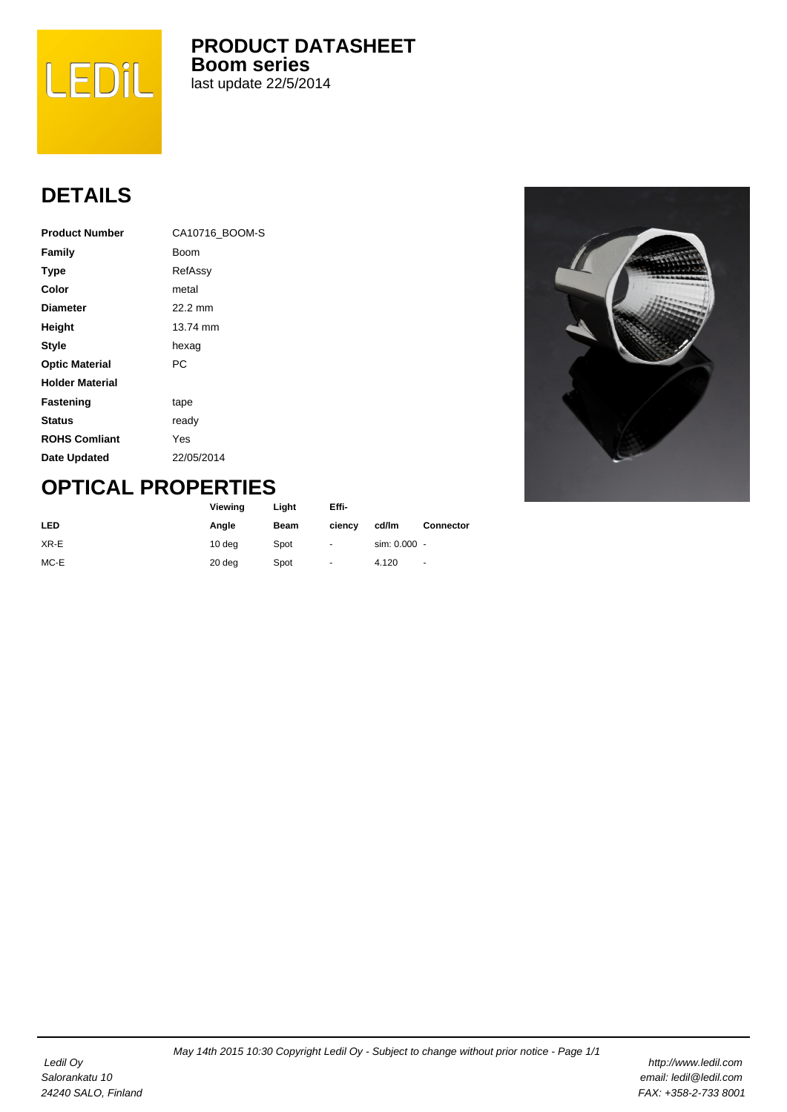

**PRODUCT DATASHEET Boom series** last update 22/5/2014

## **DETAILS**

| <b>Product Number</b>  | CA10716 BOOM-S |
|------------------------|----------------|
| Family                 | Boom           |
| <b>Type</b>            | RefAssy        |
| Color                  | metal          |
| <b>Diameter</b>        | 22.2 mm        |
| Height                 | 13.74 mm       |
| <b>Style</b>           | hexag          |
| <b>Optic Material</b>  | РC             |
| <b>Holder Material</b> |                |
| <b>Fastening</b>       | tape           |
| <b>Status</b>          | ready          |
| <b>ROHS Comliant</b>   | Yes            |
| Date Updated           | 22/05/2014     |



## **OPTICAL PROPERTIES**

|            | Viewing | Light | Effi-          |              |                  |
|------------|---------|-------|----------------|--------------|------------------|
| <b>LED</b> | Angle   | Beam  | ciency         | cd/lm        | <b>Connector</b> |
| XR-E       | 10 deg  | Spot  | $\blacksquare$ | sim: 0.000 - |                  |
| MC-E       | 20 deg  | Spot  | ۰              | 4.120        | $\blacksquare$   |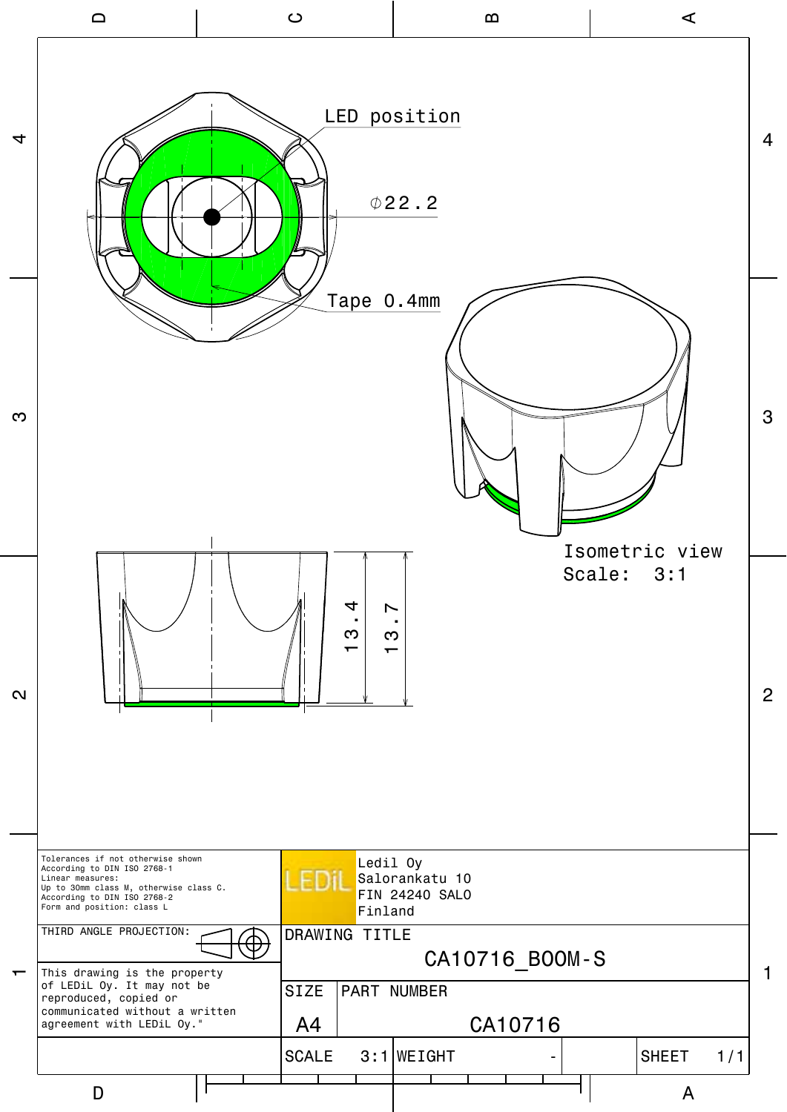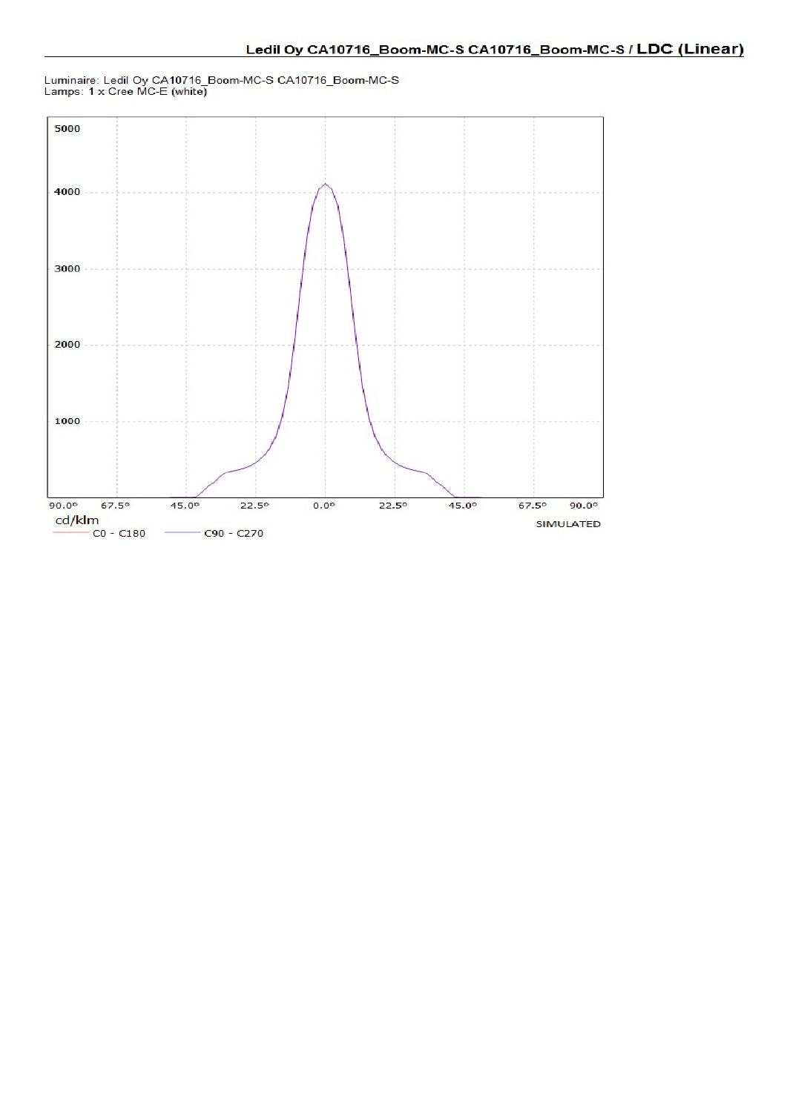

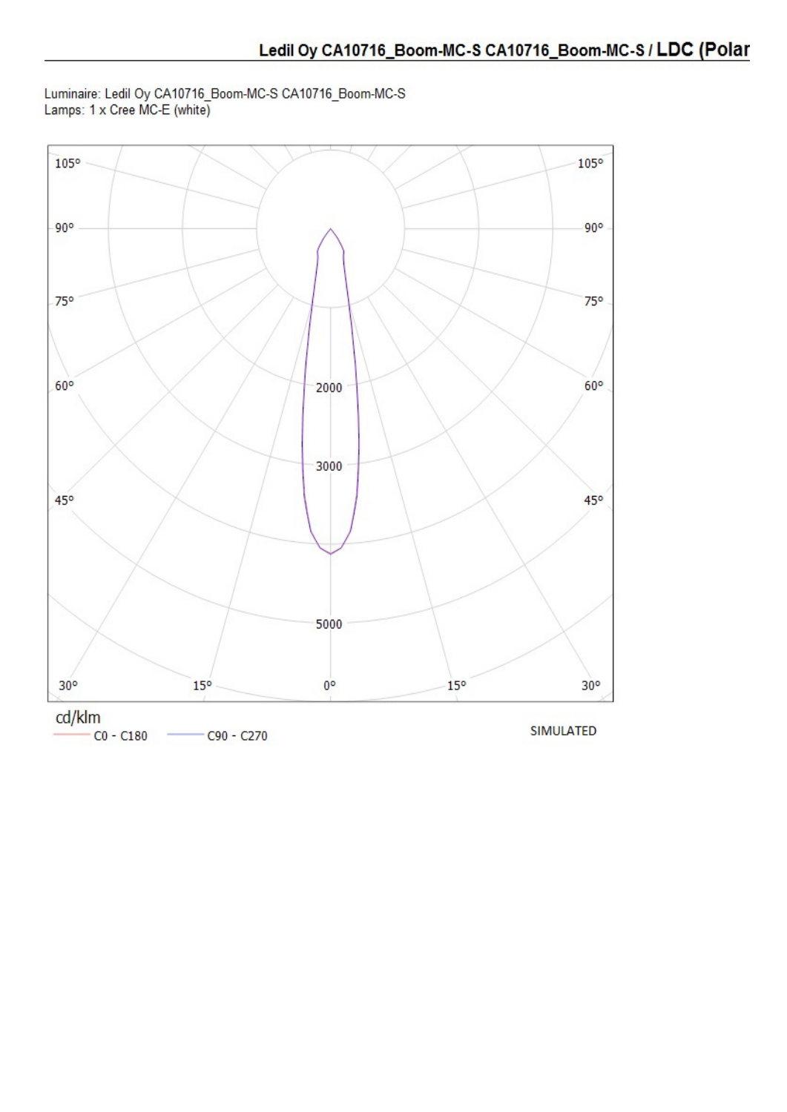Luminaire: Ledil Oy CA10716\_Boom-MC-S CA10716\_Boom-MC-S Lamps: 1 x Cree MC-E (white)